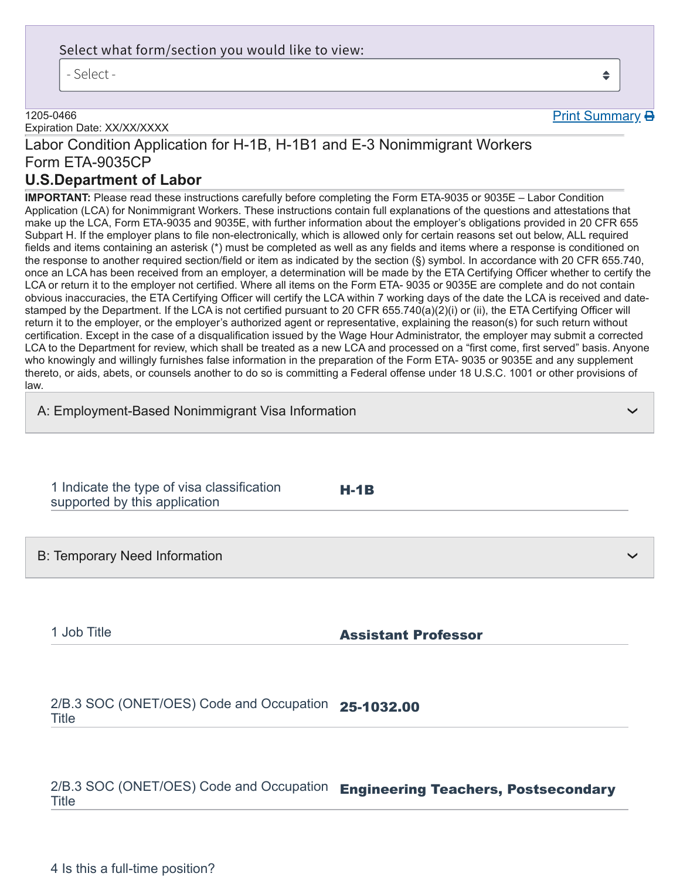### Select what form/section you would like to view:

- Select -

#### 1205-0466

Expiration Date: XX/XX/XXXX

# Labor Condition Application for H-1B, H-1B1 and E-3 Nonimmigrant Workers Form ETA-9035CP

# **U.S.Department of Labor**

**IMPORTANT:** Please read these instructions carefully before completing the Form ETA-9035 or 9035E – Labor Condition Application (LCA) for Nonimmigrant Workers. These instructions contain full explanations of the questions and attestations that make up the LCA, Form ETA-9035 and 9035E, with further information about the employer's obligations provided in 20 CFR 655 Subpart H. If the employer plans to file non-electronically, which is allowed only for certain reasons set out below, ALL required fields and items containing an asterisk (\*) must be completed as well as any fields and items where a response is conditioned on the response to another required section/field or item as indicated by the section (§) symbol. In accordance with 20 CFR 655.740, once an LCA has been received from an employer, a determination will be made by the ETA Certifying Officer whether to certify the LCA or return it to the employer not certified. Where all items on the Form ETA- 9035 or 9035E are complete and do not contain obvious inaccuracies, the ETA Certifying Officer will certify the LCA within 7 working days of the date the LCA is received and datestamped by the Department. If the LCA is not certified pursuant to 20 CFR 655.740(a)(2)(i) or (ii), the ETA Certifying Officer will return it to the employer, or the employer's authorized agent or representative, explaining the reason(s) for such return without certification. Except in the case of a disqualification issued by the Wage Hour Administrator, the employer may submit a corrected LCA to the Department for review, which shall be treated as a new LCA and processed on a "first come, first served" basis. Anyone who knowingly and willingly furnishes false information in the preparation of the Form ETA- 9035 or 9035E and any supplement thereto, or aids, abets, or counsels another to do so is committing a Federal offense under 18 U.S.C. 1001 or other provisions of law.

H-1B

1 Indicate the type of visa classification supported by this application

B: Temporary Need Information

1 Job Title **Assistant Professor** 

2/B.3 SOC (ONET/OES) Code and Occupation 25-1032.00 Title

2/B.3 SOC (ONET/OES) Code and Occupation Engineering Teachers, Postsecondary **Title** 

4 Is this a full-time position?

 $\triangleq$ 

Print Summary **B** 

❯

❯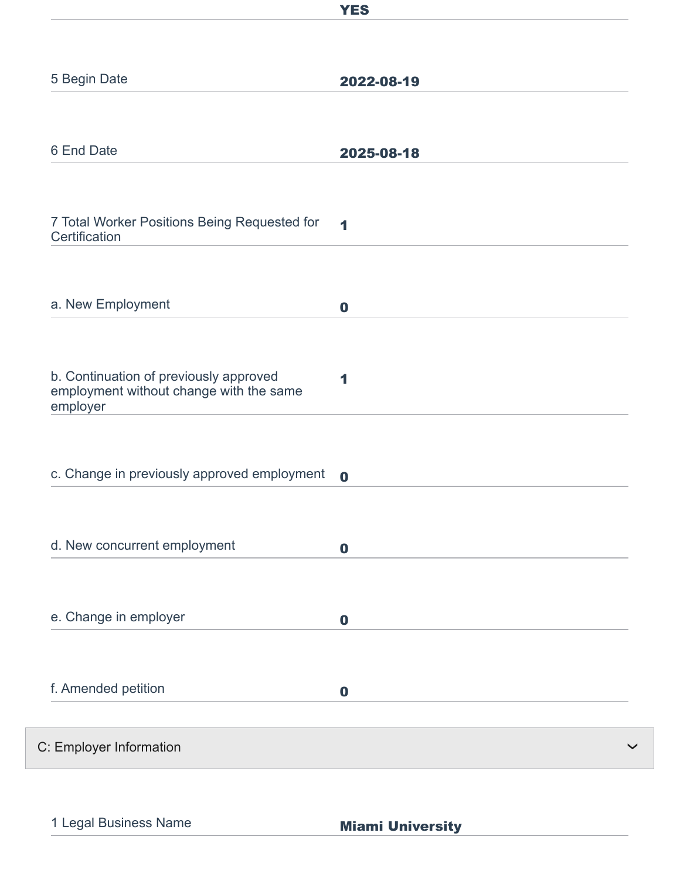|                                                                                               | <b>YES</b>       |
|-----------------------------------------------------------------------------------------------|------------------|
|                                                                                               |                  |
| 5 Begin Date                                                                                  | 2022-08-19       |
|                                                                                               |                  |
| 6 End Date                                                                                    | 2025-08-18       |
| 7 Total Worker Positions Being Requested for                                                  | 1                |
| Certification                                                                                 |                  |
|                                                                                               |                  |
| a. New Employment                                                                             | $\bf{0}$         |
| b. Continuation of previously approved<br>employment without change with the same<br>employer | 1                |
| c. Change in previously approved employment                                                   | $\mathbf 0$      |
| d. New concurrent employment                                                                  | $\mathbf 0$      |
| e. Change in employer                                                                         | $\boldsymbol{0}$ |
| f. Amended petition                                                                           | $\mathbf 0$      |
| C: Employer Information                                                                       |                  |

1 Legal Business Name<br>
Miami University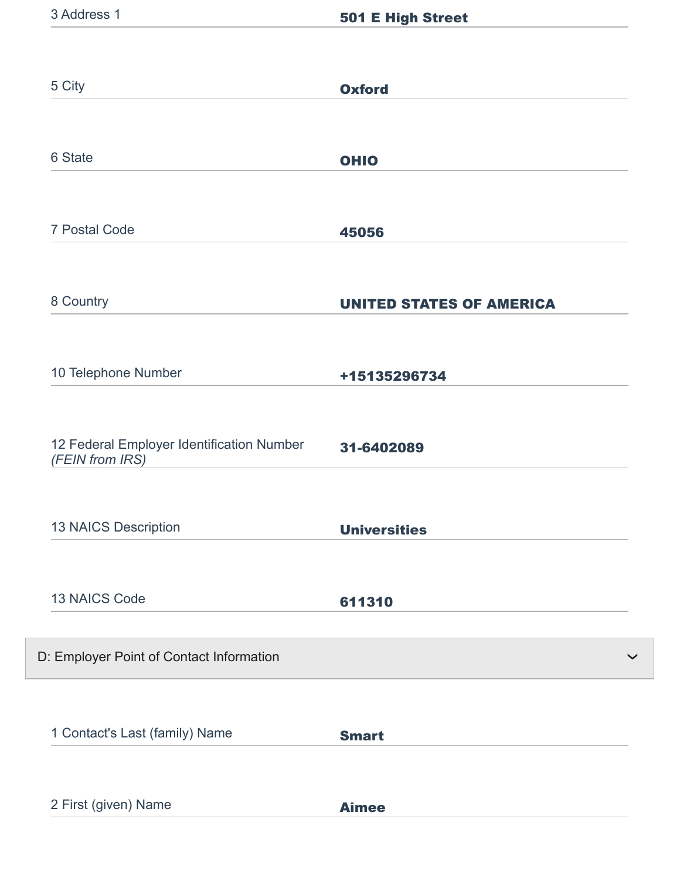| 5 City                                                       | <b>Oxford</b>                   |
|--------------------------------------------------------------|---------------------------------|
|                                                              |                                 |
| 6 State                                                      | <b>OHIO</b>                     |
|                                                              |                                 |
| 7 Postal Code                                                | 45056                           |
|                                                              |                                 |
| 8 Country                                                    | <b>UNITED STATES OF AMERICA</b> |
|                                                              |                                 |
| 10 Telephone Number                                          | +15135296734                    |
| 12 Federal Employer Identification Number<br>(FEIN from IRS) | 31-6402089                      |
| <b>13 NAICS Description</b>                                  | <b>Universities</b>             |
| 13 NAICS Code                                                | 611310                          |
| D: Employer Point of Contact Information                     |                                 |
|                                                              |                                 |
| 1 Contact's Last (family) Name                               | <b>Smart</b>                    |
|                                                              |                                 |
| 2 First (given) Name                                         | <b>Aimee</b>                    |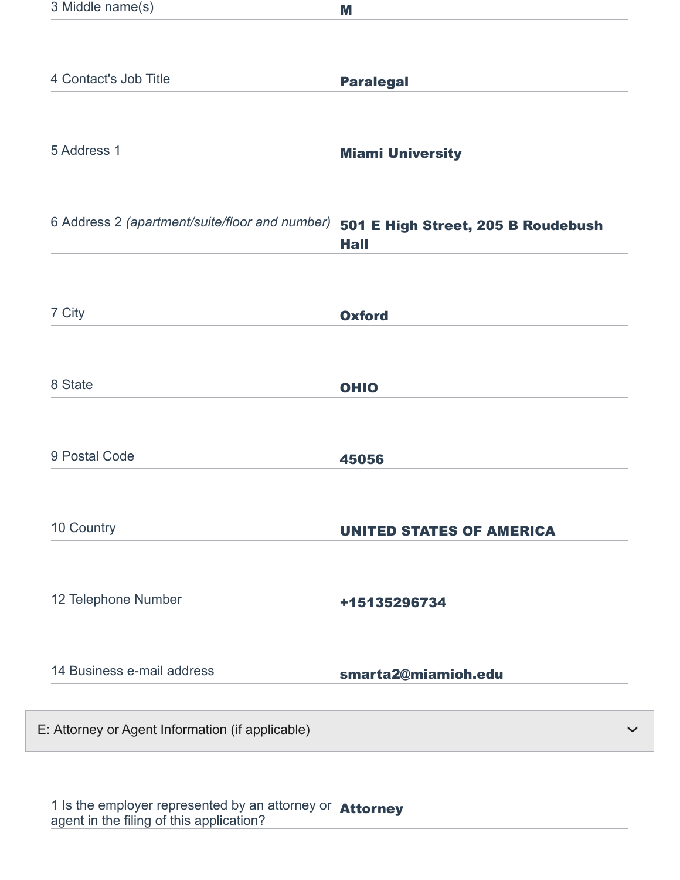| 3 Middle name(s)                                 | M                                                 |
|--------------------------------------------------|---------------------------------------------------|
|                                                  |                                                   |
| 4 Contact's Job Title                            | <b>Paralegal</b>                                  |
|                                                  |                                                   |
| 5 Address 1                                      | <b>Miami University</b>                           |
| 6 Address 2 (apartment/suite/floor and number)   | 501 E High Street, 205 B Roudebush<br><b>Hall</b> |
| 7 City                                           | <b>Oxford</b>                                     |
| 8 State                                          | <b>OHIO</b>                                       |
| 9 Postal Code                                    | 45056                                             |
| 10 Country                                       | <b>UNITED STATES OF AMERICA</b>                   |
| 12 Telephone Number                              | +15135296734                                      |
| 14 Business e-mail address                       | smarta2@miamioh.edu                               |
| E: Attorney or Agent Information (if applicable) |                                                   |

1 Is the employer represented by an attorney or agent in the filing of this application? Attorney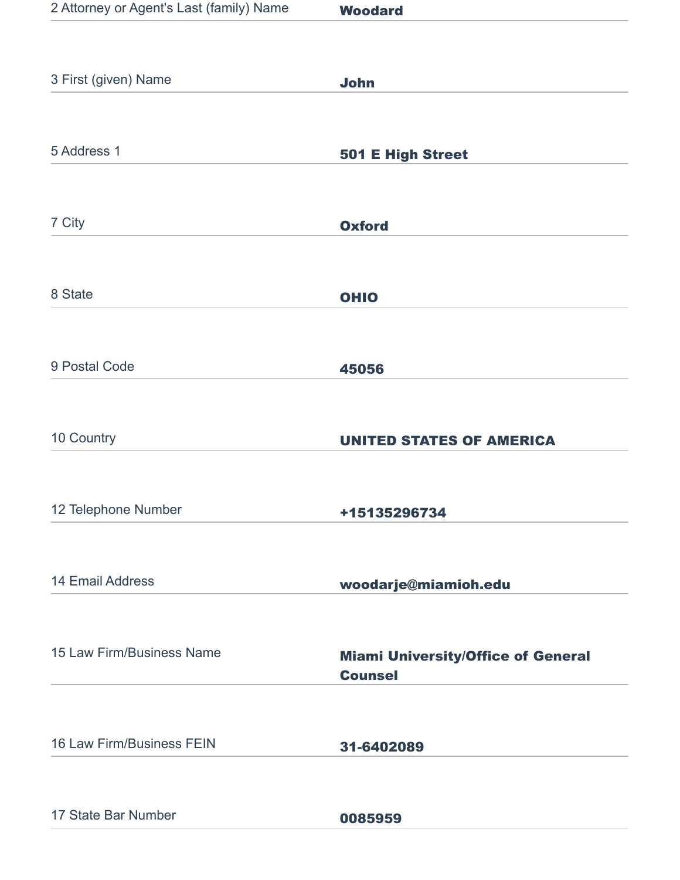| 2 Attorney or Agent's Last (family) Name | <b>Woodard</b>                                              |
|------------------------------------------|-------------------------------------------------------------|
|                                          |                                                             |
| 3 First (given) Name                     | <b>John</b>                                                 |
|                                          |                                                             |
| 5 Address 1                              | 501 E High Street                                           |
|                                          |                                                             |
| 7 City                                   | <b>Oxford</b>                                               |
|                                          |                                                             |
| 8 State                                  | <b>OHIO</b>                                                 |
|                                          |                                                             |
| 9 Postal Code                            | 45056                                                       |
|                                          |                                                             |
| 10 Country                               | <b>UNITED STATES OF AMERICA</b>                             |
|                                          |                                                             |
| 12 Telephone Number                      | +15135296734                                                |
|                                          |                                                             |
| 14 Email Address                         | woodarje@miamioh.edu                                        |
|                                          |                                                             |
| 15 Law Firm/Business Name                | <b>Miami University/Office of General</b><br><b>Counsel</b> |
|                                          |                                                             |
| 16 Law Firm/Business FEIN                | 31-6402089                                                  |
|                                          |                                                             |
| 17 State Bar Number                      | 0085959                                                     |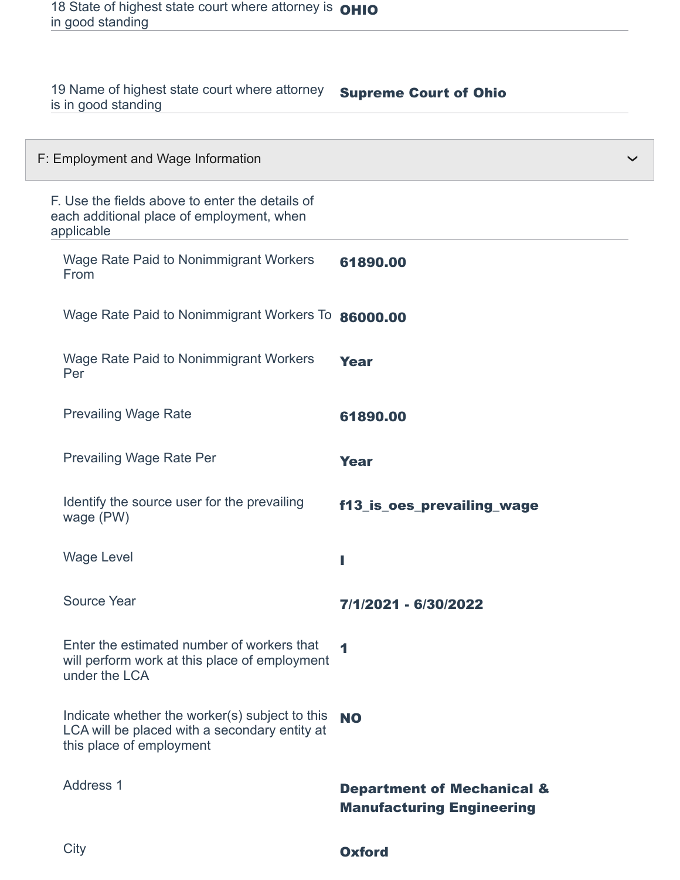| 19 Name of highest state court where attorney<br>is in good standing                                                        | <b>Supreme Court of Ohio</b>                                              |  |
|-----------------------------------------------------------------------------------------------------------------------------|---------------------------------------------------------------------------|--|
| F: Employment and Wage Information                                                                                          |                                                                           |  |
| F. Use the fields above to enter the details of<br>each additional place of employment, when<br>applicable                  |                                                                           |  |
| <b>Wage Rate Paid to Nonimmigrant Workers</b><br>From                                                                       | 61890.00                                                                  |  |
| Wage Rate Paid to Nonimmigrant Workers To                                                                                   | 86000.00                                                                  |  |
| Wage Rate Paid to Nonimmigrant Workers<br>Per                                                                               | <b>Year</b>                                                               |  |
| <b>Prevailing Wage Rate</b>                                                                                                 | 61890.00                                                                  |  |
| <b>Prevailing Wage Rate Per</b>                                                                                             | <b>Year</b>                                                               |  |
| Identify the source user for the prevailing<br>wage (PW)                                                                    | f13_is_oes_prevailing_wage                                                |  |
| <b>Wage Level</b>                                                                                                           | ı                                                                         |  |
| Source Year                                                                                                                 | 7/1/2021 - 6/30/2022                                                      |  |
| Enter the estimated number of workers that<br>will perform work at this place of employment<br>under the LCA                | $\blacktriangleleft$                                                      |  |
| Indicate whether the worker(s) subject to this<br>LCA will be placed with a secondary entity at<br>this place of employment | <b>NO</b>                                                                 |  |
| Address 1                                                                                                                   | <b>Department of Mechanical &amp;</b><br><b>Manufacturing Engineering</b> |  |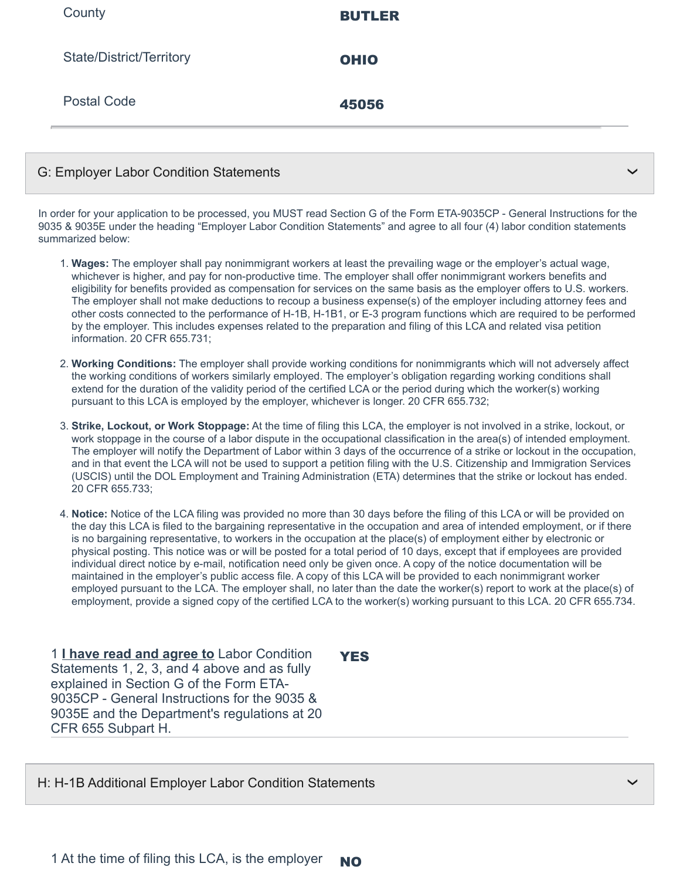| County                          | <b>BUTLER</b> |
|---------------------------------|---------------|
| <b>State/District/Territory</b> | <b>OHIO</b>   |
| <b>Postal Code</b>              | 45056         |
|                                 |               |

#### G: Employer Labor Condition Statements

In order for your application to be processed, you MUST read Section G of the Form ETA-9035CP - General Instructions for the 9035 & 9035E under the heading "Employer Labor Condition Statements" and agree to all four (4) labor condition statements summarized below:

❯

❯

- 1. **Wages:** The employer shall pay nonimmigrant workers at least the prevailing wage or the employer's actual wage, whichever is higher, and pay for non-productive time. The employer shall offer nonimmigrant workers benefits and eligibility for benefits provided as compensation for services on the same basis as the employer offers to U.S. workers. The employer shall not make deductions to recoup a business expense(s) of the employer including attorney fees and other costs connected to the performance of H-1B, H-1B1, or E-3 program functions which are required to be performed by the employer. This includes expenses related to the preparation and filing of this LCA and related visa petition information. 20 CFR 655.731;
- 2. **Working Conditions:** The employer shall provide working conditions for nonimmigrants which will not adversely affect the working conditions of workers similarly employed. The employer's obligation regarding working conditions shall extend for the duration of the validity period of the certified LCA or the period during which the worker(s) working pursuant to this LCA is employed by the employer, whichever is longer. 20 CFR 655.732;
- 3. **Strike, Lockout, or Work Stoppage:** At the time of filing this LCA, the employer is not involved in a strike, lockout, or work stoppage in the course of a labor dispute in the occupational classification in the area(s) of intended employment. The employer will notify the Department of Labor within 3 days of the occurrence of a strike or lockout in the occupation, and in that event the LCA will not be used to support a petition filing with the U.S. Citizenship and Immigration Services (USCIS) until the DOL Employment and Training Administration (ETA) determines that the strike or lockout has ended. 20 CFR 655.733;
- 4. **Notice:** Notice of the LCA filing was provided no more than 30 days before the filing of this LCA or will be provided on the day this LCA is filed to the bargaining representative in the occupation and area of intended employment, or if there is no bargaining representative, to workers in the occupation at the place(s) of employment either by electronic or physical posting. This notice was or will be posted for a total period of 10 days, except that if employees are provided individual direct notice by e-mail, notification need only be given once. A copy of the notice documentation will be maintained in the employer's public access file. A copy of this LCA will be provided to each nonimmigrant worker employed pursuant to the LCA. The employer shall, no later than the date the worker(s) report to work at the place(s) of employment, provide a signed copy of the certified LCA to the worker(s) working pursuant to this LCA. 20 CFR 655.734.

1 **I have read and agree to** Labor Condition Statements 1, 2, 3, and 4 above and as fully explained in Section G of the Form ETA-9035CP - General Instructions for the 9035 & 9035E and the Department's regulations at 20 CFR 655 Subpart H.

**YES** 

H: H-1B Additional Employer Labor Condition Statements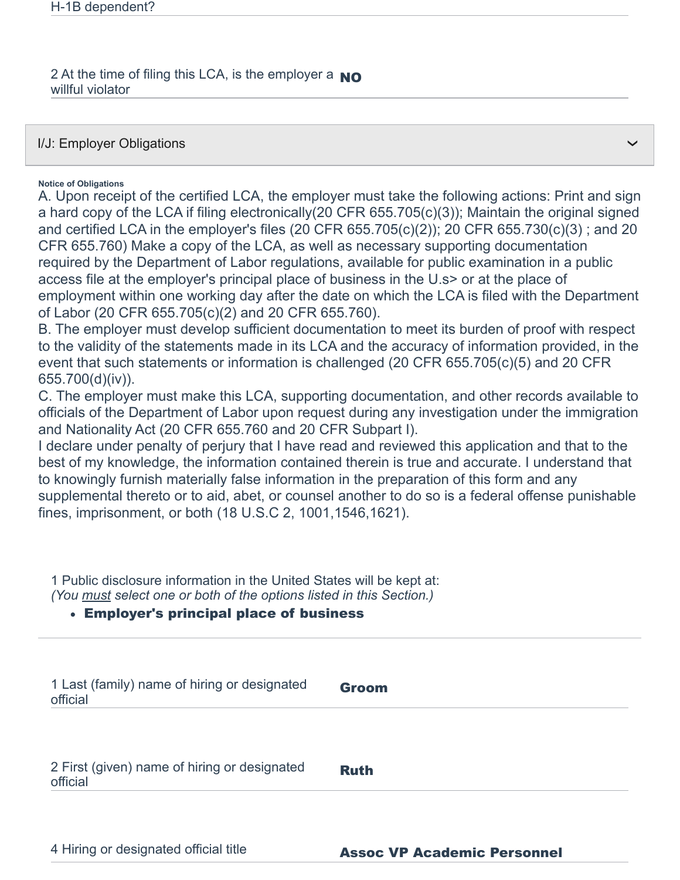2 At the time of filing this LCA, is the employer a  $_{\rm NO}$ willful violator

I/J: Employer Obligations

**Notice of Obligations**

A. Upon receipt of the certified LCA, the employer must take the following actions: Print and sign a hard copy of the LCA if filing electronically(20 CFR 655.705(c)(3)); Maintain the original signed and certified LCA in the employer's files (20 CFR 655.705(c)(2)); 20 CFR 655.730(c)(3) ; and 20 CFR 655.760) Make a copy of the LCA, as well as necessary supporting documentation required by the Department of Labor regulations, available for public examination in a public access file at the employer's principal place of business in the U.s> or at the place of employment within one working day after the date on which the LCA is filed with the Department of Labor (20 CFR 655.705(c)(2) and 20 CFR 655.760).

❯

B. The employer must develop sufficient documentation to meet its burden of proof with respect to the validity of the statements made in its LCA and the accuracy of information provided, in the event that such statements or information is challenged (20 CFR 655.705(c)(5) and 20 CFR 655.700(d)(iv)).

C. The employer must make this LCA, supporting documentation, and other records available to officials of the Department of Labor upon request during any investigation under the immigration and Nationality Act (20 CFR 655.760 and 20 CFR Subpart I).

I declare under penalty of perjury that I have read and reviewed this application and that to the best of my knowledge, the information contained therein is true and accurate. I understand that to knowingly furnish materially false information in the preparation of this form and any supplemental thereto or to aid, abet, or counsel another to do so is a federal offense punishable fines, imprisonment, or both (18 U.S.C 2, 1001,1546,1621).

1 Public disclosure information in the United States will be kept at: *(You must select one or both of the options listed in this Section.)*

## Employer's principal place of business

| 1 Last (family) name of hiring or designated<br>official | <b>Groom</b> |
|----------------------------------------------------------|--------------|
| 2 First (given) name of hiring or designated             | <b>Ruth</b>  |
| official                                                 |              |